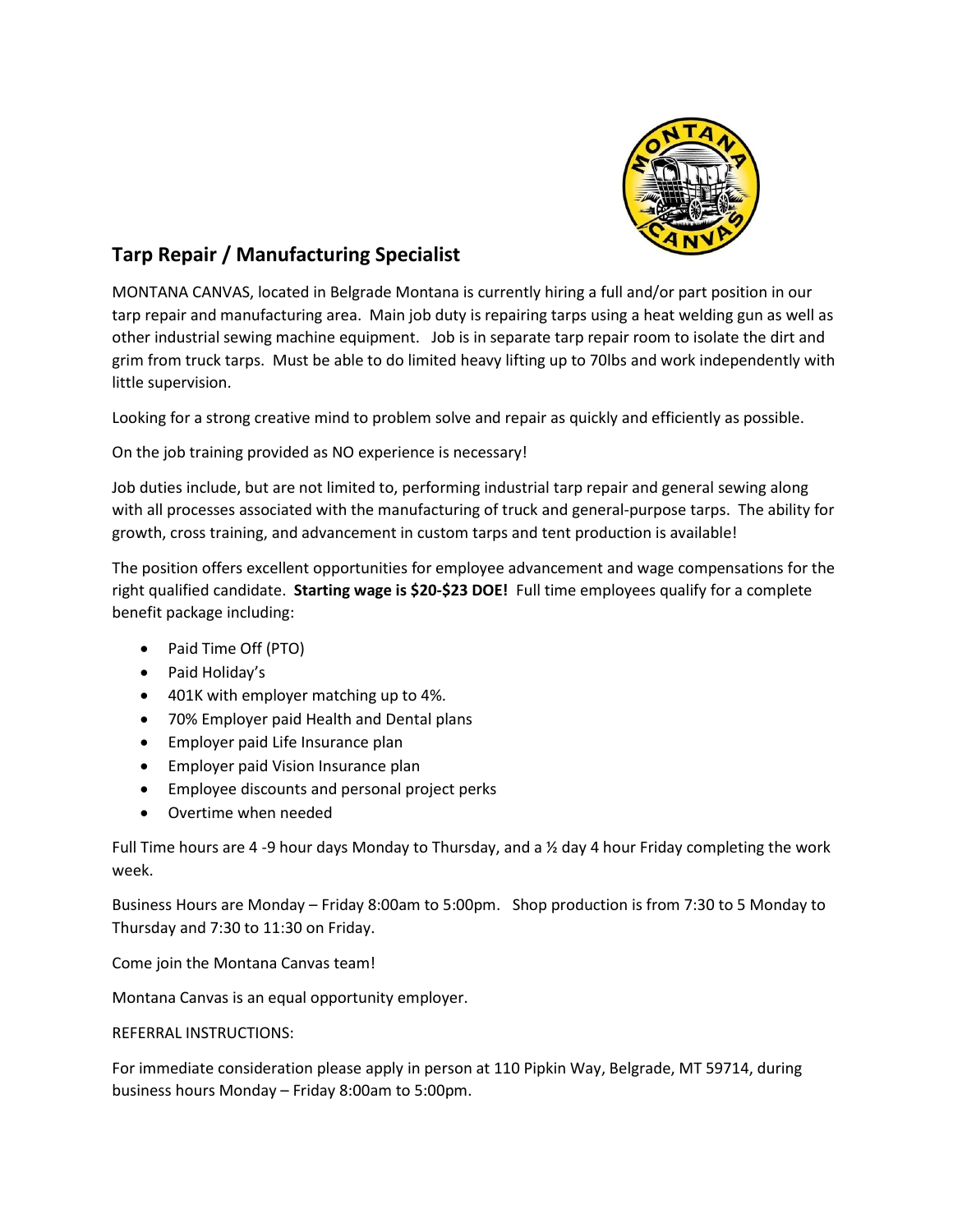

## **Tarp Repair / Manufacturing Specialist**

MONTANA CANVAS, located in Belgrade Montana is currently hiring a full and/or part position in our tarp repair and manufacturing area. Main job duty is repairing tarps using a heat welding gun as well as other industrial sewing machine equipment. Job is in separate tarp repair room to isolate the dirt and grim from truck tarps. Must be able to do limited heavy lifting up to 70lbs and work independently with little supervision.

Looking for a strong creative mind to problem solve and repair as quickly and efficiently as possible.

On the job training provided as NO experience is necessary!

Job duties include, but are not limited to, performing industrial tarp repair and general sewing along with all processes associated with the manufacturing of truck and general-purpose tarps. The ability for growth, cross training, and advancement in custom tarps and tent production is available!

The position offers excellent opportunities for employee advancement and wage compensations for the right qualified candidate. **Starting wage is \$20-\$23 DOE!** Full time employees qualify for a complete benefit package including:

- Paid Time Off (PTO)
- Paid Holiday's
- 401K with employer matching up to 4%.
- 70% Employer paid Health and Dental plans
- Employer paid Life Insurance plan
- Employer paid Vision Insurance plan
- Employee discounts and personal project perks
- Overtime when needed

Full Time hours are 4 -9 hour days Monday to Thursday, and a  $\frac{1}{2}$  day 4 hour Friday completing the work week.

Business Hours are Monday – Friday 8:00am to 5:00pm. Shop production is from 7:30 to 5 Monday to Thursday and 7:30 to 11:30 on Friday.

Come join the Montana Canvas team!

Montana Canvas is an equal opportunity employer.

## REFERRAL INSTRUCTIONS:

For immediate consideration please apply in person at 110 Pipkin Way, Belgrade, MT 59714, during business hours Monday – Friday 8:00am to 5:00pm.